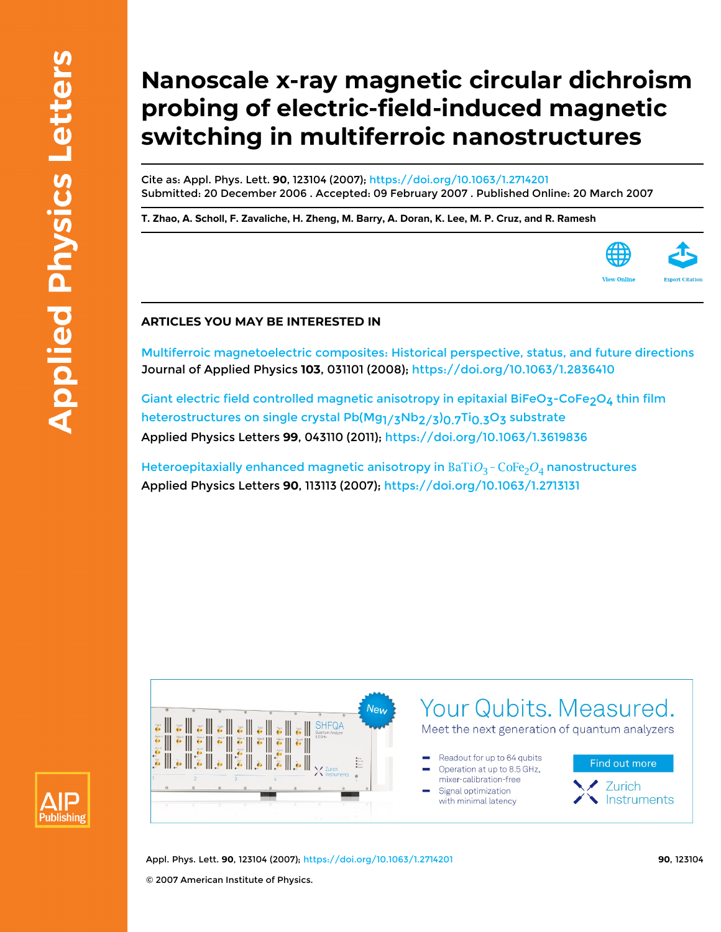# **Nanoscale x-ray magnetic circular dichroism probing of electric-field-induced magnetic switching in multiferroic nanostructures**

Cite as: Appl. Phys. Lett. **90**, 123104 (2007); <https://doi.org/10.1063/1.2714201> Submitted: 20 December 2006 . Accepted: 09 February 2007 . Published Online: 20 March 2007

**[T. Zhao](https://aip.scitation.org/author/Zhao%2C+T), [A. Scholl,](https://aip.scitation.org/author/Scholl%2C+A) [F. Zavaliche](https://aip.scitation.org/author/Zavaliche%2C+F), [H. Zheng,](https://aip.scitation.org/author/Zheng%2C+H) [M. Barry,](https://aip.scitation.org/author/Barry%2C+M) [A. Doran](https://aip.scitation.org/author/Doran%2C+A), [K. Lee,](https://aip.scitation.org/author/Lee%2C+K) [M. P. Cruz,](https://aip.scitation.org/author/Cruz%2C+M+P) and [R. Ramesh](https://aip.scitation.org/author/Ramesh%2C+R)**



## **ARTICLES YOU MAY BE INTERESTED IN**

[Multiferroic magnetoelectric composites: Historical perspective, status, and future directions](https://aip.scitation.org/doi/10.1063/1.2836410) Journal of Applied Physics **103**, 031101 (2008);<https://doi.org/10.1063/1.2836410>

Giant electric field controlled magnetic anisotropy in epitaxial BiFeO<sub>3</sub>-CoFe<sub>2</sub>O<sub>4</sub> thin film heterostructures on single crystal Pb(Mg<sub>1/3</sub>Nb<sub>2/3</sub>)<sub>0.7</sub>Ti<sub>0.3</sub>O<sub>3</sub> substrate Applied Physics Letters **99**, 043110 (2011);<https://doi.org/10.1063/1.3619836>

Heteroepitaxially enhanced magnetic anisotropy in  $BaTiO_3$  -  $CoFe_2O_4$  nanostructures Applied Physics Letters **90**, 113113 (2007);<https://doi.org/10.1063/1.2713131>





Appl. Phys. Lett. **90**, 123104 (2007); <https://doi.org/10.1063/1.2714201> **90**, 123104 © 2007 American Institute of Physics.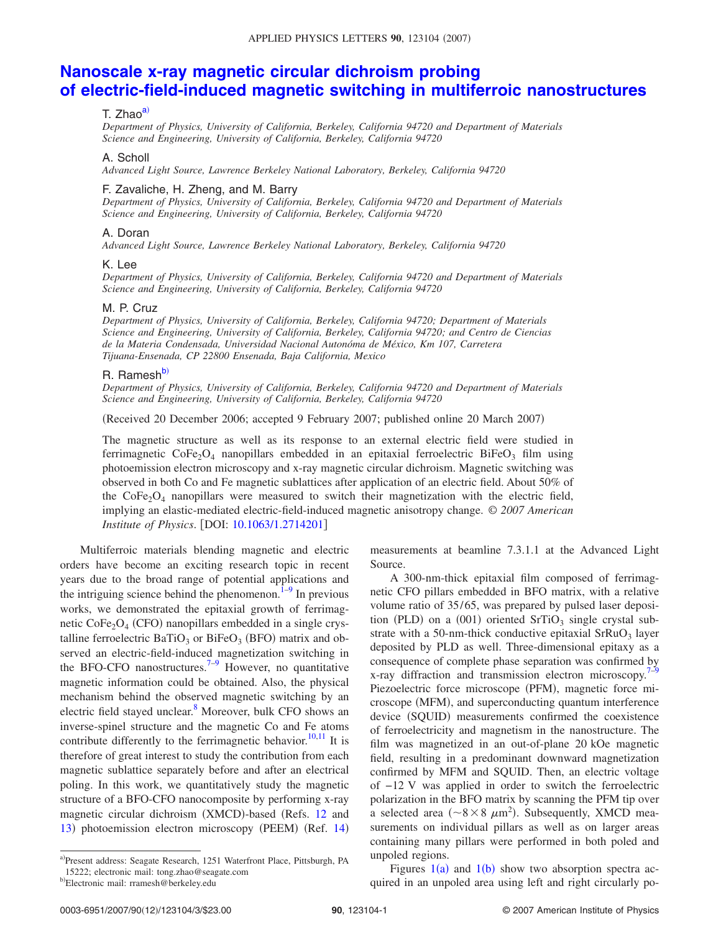# **[Nanoscale x-ray magnetic circular dichroism probing](http://dx.doi.org/10.1063/1.2714201) [of electric-field-induced magnetic switching in multiferroic nanostructures](http://dx.doi.org/10.1063/1.2714201)**

#### T. Zhao<sup>a)</sup>

*Department of Physics, University of California, Berkeley, California 94720 and Department of Materials Science and Engineering, University of California, Berkeley, California 94720*

#### A. Scholl

*Advanced Light Source, Lawrence Berkeley National Laboratory, Berkeley, California 94720*

#### F. Zavaliche, H. Zheng, and M. Barry

*Department of Physics, University of California, Berkeley, California 94720 and Department of Materials Science and Engineering, University of California, Berkeley, California 94720*

#### A. Doran

*Advanced Light Source, Lawrence Berkeley National Laboratory, Berkeley, California 94720*

#### K. Lee

*Department of Physics, University of California, Berkeley, California 94720 and Department of Materials Science and Engineering, University of California, Berkeley, California 94720*

#### M. P. Cruz

*Department of Physics, University of California, Berkeley, California 94720; Department of Materials Science and Engineering, University of California, Berkeley, California 94720; and Centro de Ciencias de la Materia Condensada, Universidad Nacional Autonóma de México, Km 107, Carretera Tijuana-Ensenada, CP 22800 Ensenada, Baja California, Mexico*

### R. Ramesh<sup>b)</sup>

*Department of Physics, University of California, Berkeley, California 94720 and Department of Materials Science and Engineering, University of California, Berkeley, California 94720*

Received 20 December 2006; accepted 9 February 2007; published online 20 March 2007-

The magnetic structure as well as its response to an external electric field were studied in ferrimagnetic  $\text{CoFe}_2\text{O}_4$  nanopillars embedded in an epitaxial ferroelectric BiFe $\text{O}_3$  film using photoemission electron microscopy and x-ray magnetic circular dichroism. Magnetic switching was observed in both Co and Fe magnetic sublattices after application of an electric field. About 50% of the  $\text{CoFe}_2\text{O}_4$  nanopillars were measured to switch their magnetization with the electric field, implying an elastic-mediated electric-field-induced magnetic anisotropy change. © *2007 American Institute of Physics.* [DOI: [10.1063/1.2714201](http://dx.doi.org/10.1063/1.2714201)]

Multiferroic materials blending magnetic and electric orders have become an exciting research topic in recent years due to the broad range of potential applications and the intriguing science behind the phenomenon. $1-9$  $1-9$  In previous works, we demonstrated the epitaxial growth of ferrimagnetic CoFe<sub>2</sub>O<sub>4</sub> (CFO) nanopillars embedded in a single crystalline ferroelectric  $BaTiO<sub>3</sub>$  or  $BiFeO<sub>3</sub>$  (BFO) matrix and observed an electric-field-induced magnetization switching in the BFO-CFO nanostructures.<sup>7[–9](#page-3-1)</sup> However, no quantitative magnetic information could be obtained. Also, the physical mechanism behind the observed magnetic switching by an electric field stayed unclear.<sup>8</sup> Moreover, bulk CFO shows an inverse-spinel structure and the magnetic Co and Fe atoms contribute differently to the ferrimagnetic behavior.<sup>10[,11](#page-3-5)</sup> It is therefore of great interest to study the contribution from each magnetic sublattice separately before and after an electrical poling. In this work, we quantitatively study the magnetic structure of a BFO-CFO nanocomposite by performing x-ray magnetic circular dichroism (XMCD)-based (Refs. [12](#page-3-6) and [13](#page-3-7)) photoemission electron microscopy (PEEM) (Ref. [14](#page-3-8))

measurements at beamline 7.3.1.1 at the Advanced Light Source.

A 300-nm-thick epitaxial film composed of ferrimagnetic CFO pillars embedded in BFO matrix, with a relative volume ratio of 35/65, was prepared by pulsed laser deposition (PLD) on a  $(001)$  oriented SrTiO<sub>3</sub> single crystal substrate with a 50-nm-thick conductive epitaxial  $SrRuO<sub>3</sub>$  layer deposited by PLD as well. Three-dimensional epitaxy as a consequence of complete phase separation was confirmed by x-ray diffraction and transmission electron microscopy.<sup>7[–9](#page-3-1)</sup> Piezoelectric force microscope (PFM), magnetic force microscope (MFM), and superconducting quantum interference device (SQUID) measurements confirmed the coexistence of ferroelectricity and magnetism in the nanostructure. The film was magnetized in an out-of-plane 20 kOe magnetic field, resulting in a predominant downward magnetization confirmed by MFM and SQUID. Then, an electric voltage of −12 V was applied in order to switch the ferroelectric polarization in the BFO matrix by scanning the PFM tip over a selected area ( $\sim 8 \times 8 \ \mu \text{m}^2$ ). Subsequently, XMCD measurements on individual pillars as well as on larger areas containing many pillars were performed in both poled and unpoled regions.

Figures  $1(a)$  $1(a)$  and  $1(b)$  show two absorption spectra acquired in an unpoled area using left and right circularly po-

<span id="page-1-1"></span><span id="page-1-0"></span>a)Present address: Seagate Research, 1251 Waterfront Place, Pittsburgh, PA 15222; electronic mail: tong.zhao@seagate.com

b)Electronic mail: rramesh@berkeley.edu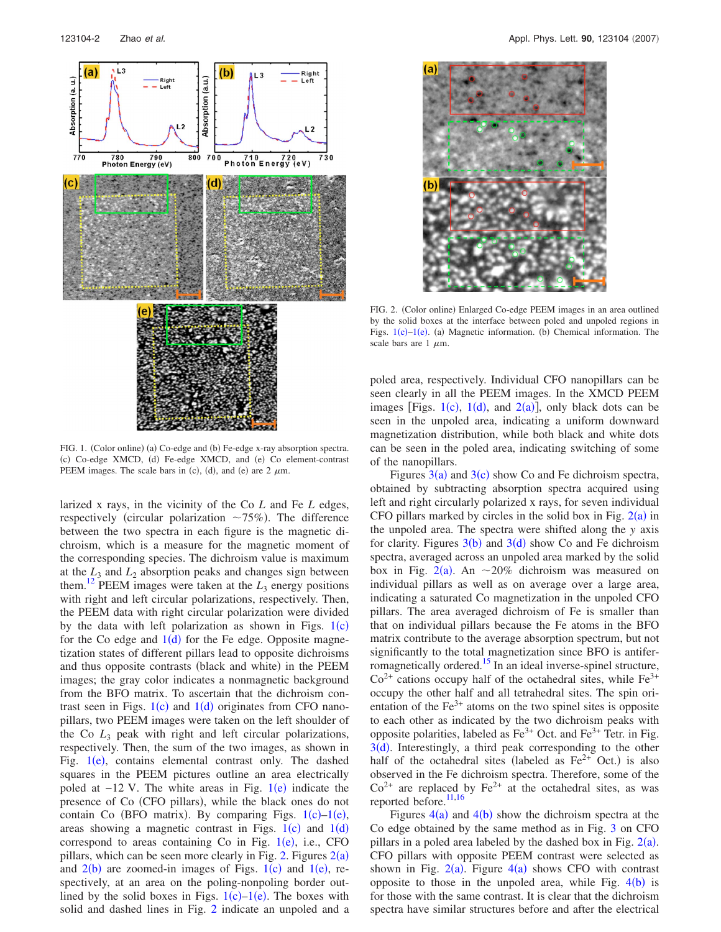<span id="page-2-0"></span>

FIG. 1. (Color online) (a) Co-edge and (b) Fe-edge x-ray absorption spectra. (c) Co-edge XMCD, (d) Fe-edge XMCD, and (e) Co element-contrast PEEM images. The scale bars in (c), (d), and (e) are  $2 \mu m$ .

larized x rays, in the vicinity of the Co *L* and Fe *L* edges, respectively (circular polarization  $\sim 75\%$ ). The difference between the two spectra in each figure is the magnetic dichroism, which is a measure for the magnetic moment of the corresponding species. The dichroism value is maximum at the  $L_3$  and  $L_2$  absorption peaks and changes sign between them.<sup>12</sup> PEEM images were taken at the  $L_3$  energy positions with right and left circular polarizations, respectively. Then, the PEEM data with right circular polarization were divided by the data with left polarization as shown in Figs.  $1(c)$  $1(c)$ for the Co edge and  $1(d)$  $1(d)$  for the Fe edge. Opposite magnetization states of different pillars lead to opposite dichroisms and thus opposite contrasts (black and white) in the PEEM images; the gray color indicates a nonmagnetic background from the BFO matrix. To ascertain that the dichroism contrast seen in Figs.  $1(c)$  $1(c)$  and  $1(d)$  originates from CFO nanopillars, two PEEM images were taken on the left shoulder of the Co *L*<sup>3</sup> peak with right and left circular polarizations, respectively. Then, the sum of the two images, as shown in Fig. [1](#page-2-0)(e), contains elemental contrast only. The dashed squares in the PEEM pictures outline an area electrically poled at  $-12$  $-12$  $-12$  V. The white areas in Fig.  $1(e)$  indicate the presence of Co (CFO pillars), while the black ones do not contain Co (BFO matrix). By comparing Figs.  $1(c)-1(e)$  $1(c)-1(e)$ , areas showing a magnetic contrast in Figs.  $1(c)$  $1(c)$  and  $1(d)$ correspond to areas containing Co in Fig.  $1(e)$  $1(e)$ , i.e., CFO pillars, which can be seen more clearly in Fig. [2.](#page-2-1) Figures  $2(a)$  $2(a)$ and  $2(b)$  $2(b)$  are zoomed-in images of Figs.  $1(c)$  $1(c)$  and  $1(e)$ , respectively, at an area on the poling-nonpoling border outlined by the solid boxes in Figs.  $1(c)-1(e)$  $1(c)-1(e)$ . The boxes with solid and dashed lines in Fig. [2](#page-2-1) indicate an unpoled and a

<span id="page-2-1"></span>

FIG. 2. (Color online) Enlarged Co-edge PEEM images in an area outlined by the solid boxes at the interface between poled and unpoled regions in Figs.  $1(c) - 1(e)$  $1(c) - 1(e)$ . (a) Magnetic information. (b) Chemical information. The scale bars are  $1 \mu m$ .

poled area, respectively. Individual CFO nanopillars can be seen clearly in all the PEEM images. In the XMCD PEEM images [Figs.  $1(c)$  $1(c)$ ,  $1(d)$ , and  $2(a)$  $2(a)$ ], only black dots can be seen in the unpoled area, indicating a uniform downward magnetization distribution, while both black and white dots can be seen in the poled area, indicating switching of some of the nanopillars.

Figures  $3(a)$  $3(a)$  and  $3(c)$  show Co and Fe dichroism spectra, obtained by subtracting absorption spectra acquired using left and right circularly polarized x rays, for seven individual CFO pillars marked by circles in the solid box in Fig.  $2(a)$  $2(a)$  in the unpoled area. The spectra were shifted along the *y* axis for clarity. Figures  $3(b)$  $3(b)$  and  $3(d)$  show Co and Fe dichroism spectra, averaged across an unpoled area marked by the solid box in Fig.  $2(a)$  $2(a)$ . An  $\sim 20\%$  dichroism was measured on individual pillars as well as on average over a large area, indicating a saturated Co magnetization in the unpoled CFO pillars. The area averaged dichroism of Fe is smaller than that on individual pillars because the Fe atoms in the BFO matrix contribute to the average absorption spectrum, but not significantly to the total magnetization since BFO is antiferromagnetically ordered.<sup>15</sup> In an ideal inverse-spinel structure,  $Co<sup>2+</sup>$  cations occupy half of the octahedral sites, while Fe<sup>3+</sup> occupy the other half and all tetrahedral sites. The spin orientation of the  $Fe<sup>3+</sup>$  atoms on the two spinel sites is opposite to each other as indicated by the two dichroism peaks with opposite polarities, labeled as  $Fe^{3+}$  Oct. and  $Fe^{3+}$  Tetr. in Fig.  $3(d)$  $3(d)$ . Interestingly, a third peak corresponding to the other half of the octahedral sites (labeled as  $Fe^{2+}$  Oct.) is also observed in the Fe dichroism spectra. Therefore, some of the  $Co<sup>2+</sup>$  are replaced by Fe<sup>2+</sup> at the octahedral sites, as was reported before.<sup>11,[16](#page-3-11)</sup>

Figures  $4(a)$  $4(a)$  and  $4(b)$  show the dichroism spectra at the Co edge obtained by the same method as in Fig. [3](#page-3-9) on CFO pillars in a poled area labeled by the dashed box in Fig.  $2(a)$  $2(a)$ . CFO pillars with opposite PEEM contrast were selected as shown in Fig.  $2(a)$  $2(a)$ . Figure  $4(a)$  $4(a)$  shows CFO with contrast opposite to those in the unpoled area, while Fig.  $4(b)$  $4(b)$  is for those with the same contrast. It is clear that the dichroism spectra have similar structures before and after the electrical